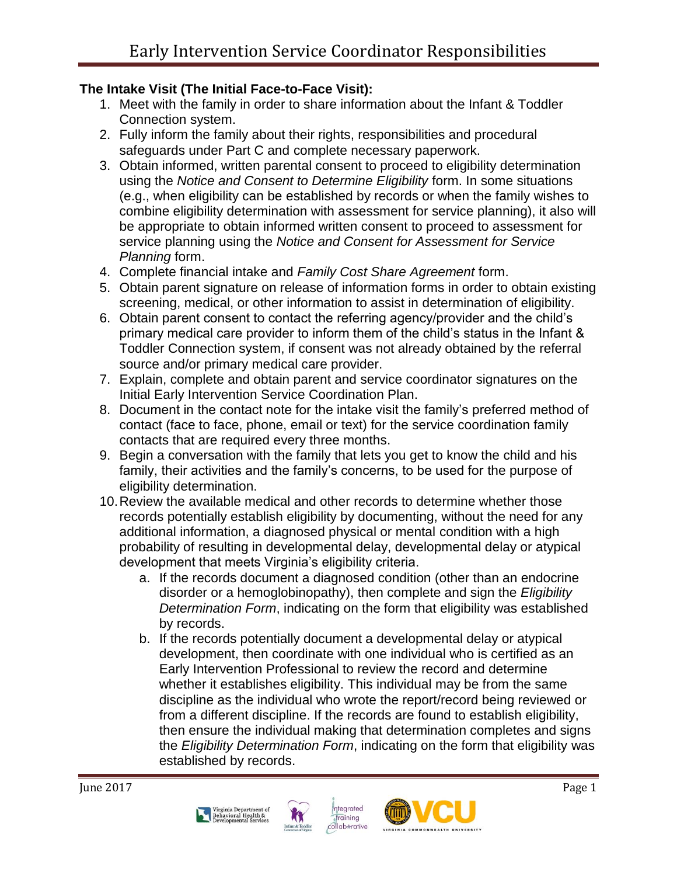### **The Intake Visit (The Initial Face-to-Face Visit):**

- 1. Meet with the family in order to share information about the Infant & Toddler Connection system.
- 2. Fully inform the family about their rights, responsibilities and procedural safeguards under Part C and complete necessary paperwork.
- 3. Obtain informed, written parental consent to proceed to eligibility determination using the *Notice and Consent to Determine Eligibility* form. In some situations (e.g., when eligibility can be established by records or when the family wishes to combine eligibility determination with assessment for service planning), it also will be appropriate to obtain informed written consent to proceed to assessment for service planning using the *Notice and Consent for Assessment for Service Planning* form.
- 4. Complete financial intake and *Family Cost Share Agreement* form.
- 5. Obtain parent signature on release of information forms in order to obtain existing screening, medical, or other information to assist in determination of eligibility.
- 6. Obtain parent consent to contact the referring agency/provider and the child's primary medical care provider to inform them of the child's status in the Infant & Toddler Connection system, if consent was not already obtained by the referral source and/or primary medical care provider.
- 7. Explain, complete and obtain parent and service coordinator signatures on the Initial Early Intervention Service Coordination Plan.
- 8. Document in the contact note for the intake visit the family's preferred method of contact (face to face, phone, email or text) for the service coordination family contacts that are required every three months.
- 9. Begin a conversation with the family that lets you get to know the child and his family, their activities and the family's concerns, to be used for the purpose of eligibility determination.
- 10.Review the available medical and other records to determine whether those records potentially establish eligibility by documenting, without the need for any additional information, a diagnosed physical or mental condition with a high probability of resulting in developmental delay, developmental delay or atypical development that meets Virginia's eligibility criteria.
	- a. If the records document a diagnosed condition (other than an endocrine disorder or a hemoglobinopathy), then complete and sign the *Eligibility Determination Form*, indicating on the form that eligibility was established by records.
	- b. If the records potentially document a developmental delay or atypical development, then coordinate with one individual who is certified as an Early Intervention Professional to review the record and determine whether it establishes eligibility. This individual may be from the same discipline as the individual who wrote the report/record being reviewed or from a different discipline. If the records are found to establish eligibility, then ensure the individual making that determination completes and signs the *Eligibility Determination Form*, indicating on the form that eligibility was established by records.







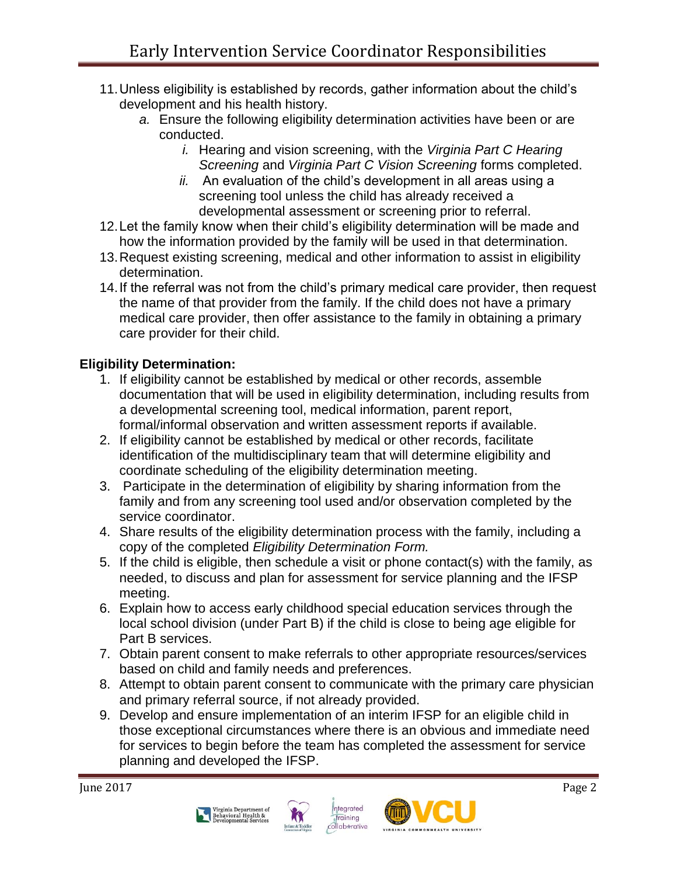- 11.Unless eligibility is established by records, gather information about the child's development and his health history.
	- *a.* Ensure the following eligibility determination activities have been or are conducted.
		- *i.* Hearing and vision screening, with the *Virginia Part C Hearing Screening* and *Virginia Part C Vision Screening* forms completed.
		- *ii.* An evaluation of the child's development in all areas using a screening tool unless the child has already received a developmental assessment or screening prior to referral.
- 12.Let the family know when their child's eligibility determination will be made and how the information provided by the family will be used in that determination.
- 13.Request existing screening, medical and other information to assist in eligibility determination.
- 14.If the referral was not from the child's primary medical care provider, then request the name of that provider from the family. If the child does not have a primary medical care provider, then offer assistance to the family in obtaining a primary care provider for their child.

# **Eligibility Determination:**

- 1. If eligibility cannot be established by medical or other records, assemble documentation that will be used in eligibility determination, including results from a developmental screening tool, medical information, parent report, formal/informal observation and written assessment reports if available.
- 2. If eligibility cannot be established by medical or other records, facilitate identification of the multidisciplinary team that will determine eligibility and coordinate scheduling of the eligibility determination meeting.
- 3. Participate in the determination of eligibility by sharing information from the family and from any screening tool used and/or observation completed by the service coordinator.
- 4. Share results of the eligibility determination process with the family, including a copy of the completed *Eligibility Determination Form.*
- 5. If the child is eligible, then schedule a visit or phone contact(s) with the family, as needed, to discuss and plan for assessment for service planning and the IFSP meeting.
- 6. Explain how to access early childhood special education services through the local school division (under Part B) if the child is close to being age eligible for Part B services.
- 7. Obtain parent consent to make referrals to other appropriate resources/services based on child and family needs and preferences.
- 8. Attempt to obtain parent consent to communicate with the primary care physician and primary referral source, if not already provided.
- 9. Develop and ensure implementation of an interim IFSP for an eligible child in those exceptional circumstances where there is an obvious and immediate need for services to begin before the team has completed the assessment for service planning and developed the IFSP.







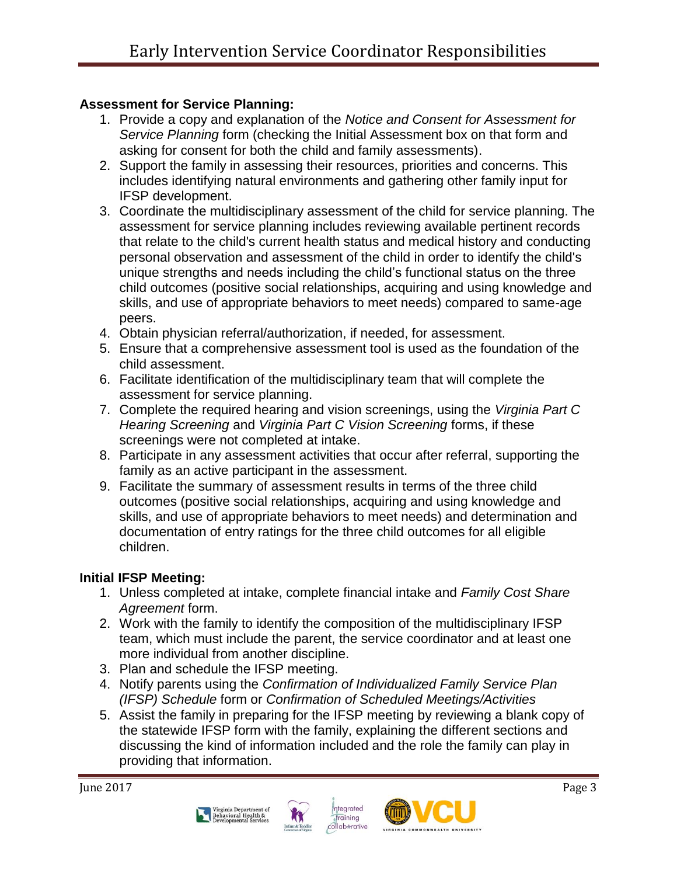# **Assessment for Service Planning:**

- 1. Provide a copy and explanation of the *Notice and Consent for Assessment for Service Planning* form (checking the Initial Assessment box on that form and asking for consent for both the child and family assessments).
- 2. Support the family in assessing their resources, priorities and concerns. This includes identifying natural environments and gathering other family input for IFSP development.
- 3. Coordinate the multidisciplinary assessment of the child for service planning. The assessment for service planning includes reviewing available pertinent records that relate to the child's current health status and medical history and conducting personal observation and assessment of the child in order to identify the child's unique strengths and needs including the child's functional status on the three child outcomes (positive social relationships, acquiring and using knowledge and skills, and use of appropriate behaviors to meet needs) compared to same-age peers.
- 4. Obtain physician referral/authorization, if needed, for assessment.
- 5. Ensure that a comprehensive assessment tool is used as the foundation of the child assessment.
- 6. Facilitate identification of the multidisciplinary team that will complete the assessment for service planning.
- 7. Complete the required hearing and vision screenings, using the *Virginia Part C Hearing Screening* and *Virginia Part C Vision Screening* forms, if these screenings were not completed at intake.
- 8. Participate in any assessment activities that occur after referral, supporting the family as an active participant in the assessment.
- 9. Facilitate the summary of assessment results in terms of the three child outcomes (positive social relationships, acquiring and using knowledge and skills, and use of appropriate behaviors to meet needs) and determination and documentation of entry ratings for the three child outcomes for all eligible children.

### **Initial IFSP Meeting:**

- 1. Unless completed at intake, complete financial intake and *Family Cost Share Agreement* form.
- 2. Work with the family to identify the composition of the multidisciplinary IFSP team, which must include the parent, the service coordinator and at least one more individual from another discipline.
- 3. Plan and schedule the IFSP meeting.
- 4. Notify parents using the *Confirmation of Individualized Family Service Plan (IFSP) Schedule* form or *Confirmation of Scheduled Meetings/Activities*
- 5. Assist the family in preparing for the IFSP meeting by reviewing a blank copy of the statewide IFSP form with the family, explaining the different sections and discussing the kind of information included and the role the family can play in providing that information.







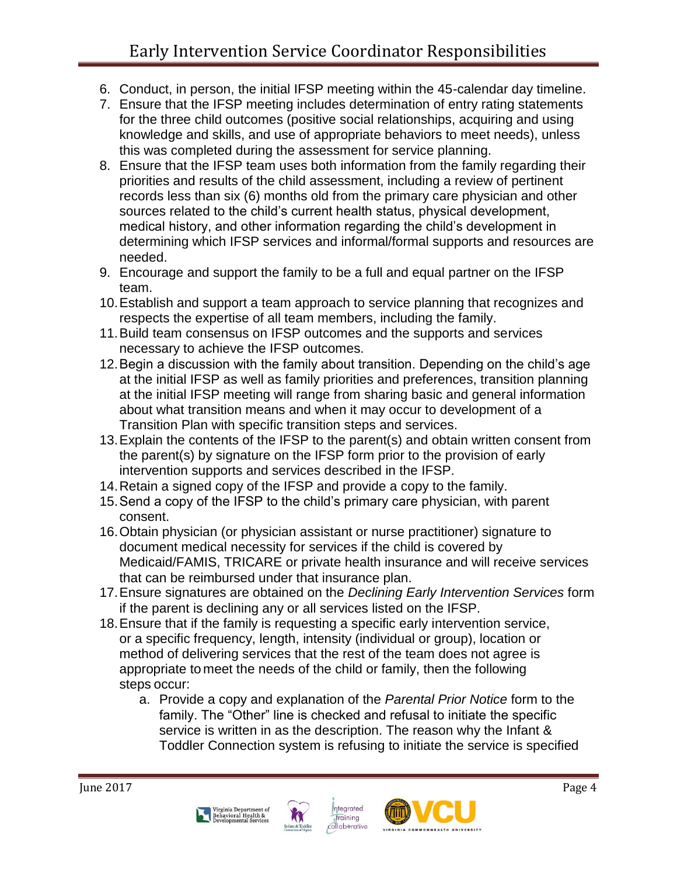- 6. Conduct, in person, the initial IFSP meeting within the 45-calendar day timeline.
- 7. Ensure that the IFSP meeting includes determination of entry rating statements for the three child outcomes (positive social relationships, acquiring and using knowledge and skills, and use of appropriate behaviors to meet needs), unless this was completed during the assessment for service planning.
- 8. Ensure that the IFSP team uses both information from the family regarding their priorities and results of the child assessment, including a review of pertinent records less than six (6) months old from the primary care physician and other sources related to the child's current health status, physical development, medical history, and other information regarding the child's development in determining which IFSP services and informal/formal supports and resources are needed.
- 9. Encourage and support the family to be a full and equal partner on the IFSP team.
- 10.Establish and support a team approach to service planning that recognizes and respects the expertise of all team members, including the family.
- 11.Build team consensus on IFSP outcomes and the supports and services necessary to achieve the IFSP outcomes.
- 12.Begin a discussion with the family about transition. Depending on the child's age at the initial IFSP as well as family priorities and preferences, transition planning at the initial IFSP meeting will range from sharing basic and general information about what transition means and when it may occur to development of a Transition Plan with specific transition steps and services.
- 13.Explain the contents of the IFSP to the parent(s) and obtain written consent from the parent(s) by signature on the IFSP form prior to the provision of early intervention supports and services described in the IFSP.
- 14.Retain a signed copy of the IFSP and provide a copy to the family.
- 15.Send a copy of the IFSP to the child's primary care physician, with parent consent.
- 16.Obtain physician (or physician assistant or nurse practitioner) signature to document medical necessity for services if the child is covered by Medicaid/FAMIS, TRICARE or private health insurance and will receive services that can be reimbursed under that insurance plan.
- 17.Ensure signatures are obtained on the *Declining Early Intervention Services* form if the parent is declining any or all services listed on the IFSP.
- 18.Ensure that if the family is requesting a specific early intervention service, or a specific frequency, length, intensity (individual or group), location or method of delivering services that the rest of the team does not agree is appropriate to meet the needs of the child or family, then the following steps occur:
	- a. Provide a copy and explanation of the *Parental Prior Notice* form to the family. The "Other" line is checked and refusal to initiate the specific service is written in as the description. The reason why the Infant & Toddler Connection system is refusing to initiate the service is specified





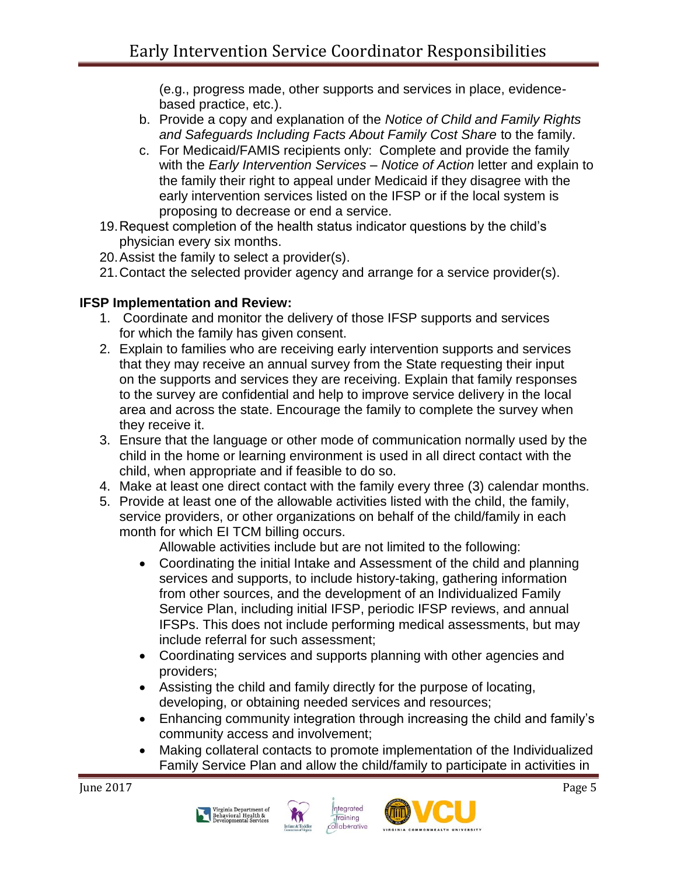(e.g., progress made, other supports and services in place, evidencebased practice, etc.).

- b. Provide a copy and explanation of the *Notice of Child and Family Rights and Safeguards Including Facts About Family Cost Share* to the family.
- c. For Medicaid/FAMIS recipients only: Complete and provide the family with the *Early Intervention Services – Notice of Action* letter and explain to the family their right to appeal under Medicaid if they disagree with the early intervention services listed on the IFSP or if the local system is proposing to decrease or end a service.
- 19.Request completion of the health status indicator questions by the child's physician every six months.
- 20.Assist the family to select a provider(s).
- 21.Contact the selected provider agency and arrange for a service provider(s).

# **IFSP Implementation and Review:**

- 1. Coordinate and monitor the delivery of those IFSP supports and services for which the family has given consent.
- 2. Explain to families who are receiving early intervention supports and services that they may receive an annual survey from the State requesting their input on the supports and services they are receiving. Explain that family responses to the survey are confidential and help to improve service delivery in the local area and across the state. Encourage the family to complete the survey when they receive it.
- 3. Ensure that the language or other mode of communication normally used by the child in the home or learning environment is used in all direct contact with the child, when appropriate and if feasible to do so.
- 4. Make at least one direct contact with the family every three (3) calendar months.
- 5. Provide at least one of the allowable activities listed with the child, the family, service providers, or other organizations on behalf of the child/family in each month for which EI TCM billing occurs.

Allowable activities include but are not limited to the following:

- Coordinating the initial Intake and Assessment of the child and planning services and supports, to include history-taking, gathering information from other sources, and the development of an Individualized Family Service Plan, including initial IFSP, periodic IFSP reviews, and annual IFSPs. This does not include performing medical assessments, but may include referral for such assessment;
- Coordinating services and supports planning with other agencies and providers;
- Assisting the child and family directly for the purpose of locating, developing, or obtaining needed services and resources;
- Enhancing community integration through increasing the child and family's community access and involvement;
- Making collateral contacts to promote implementation of the Individualized Family Service Plan and allow the child/family to participate in activities in







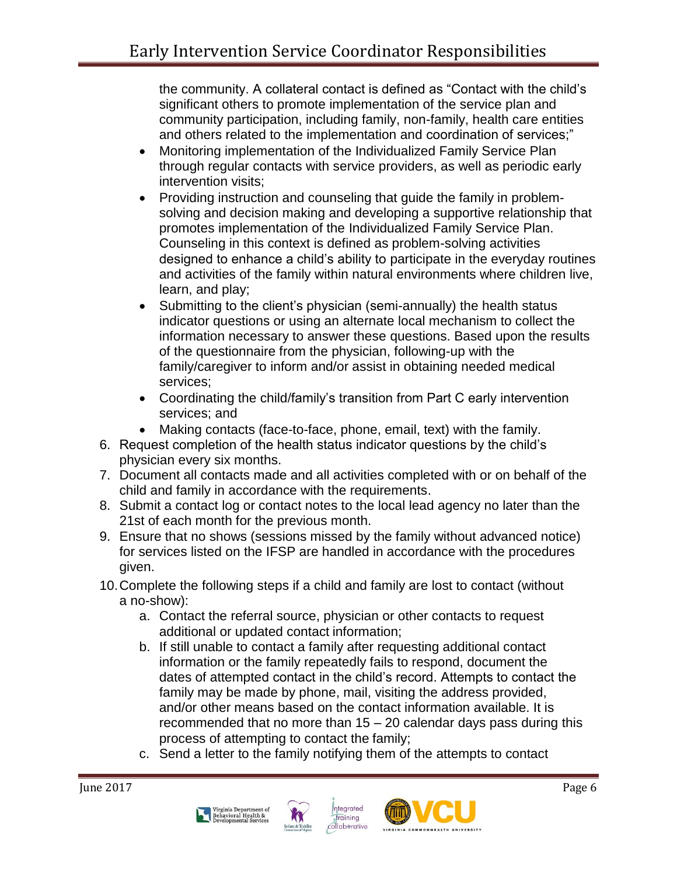the community. A collateral contact is defined as "Contact with the child's significant others to promote implementation of the service plan and community participation, including family, non-family, health care entities and others related to the implementation and coordination of services;"

- Monitoring implementation of the Individualized Family Service Plan through regular contacts with service providers, as well as periodic early intervention visits;
- Providing instruction and counseling that guide the family in problemsolving and decision making and developing a supportive relationship that promotes implementation of the Individualized Family Service Plan. Counseling in this context is defined as problem-solving activities designed to enhance a child's ability to participate in the everyday routines and activities of the family within natural environments where children live, learn, and play;
- Submitting to the client's physician (semi-annually) the health status indicator questions or using an alternate local mechanism to collect the information necessary to answer these questions. Based upon the results of the questionnaire from the physician, following-up with the family/caregiver to inform and/or assist in obtaining needed medical services;
- Coordinating the child/family's transition from Part C early intervention services; and
- Making contacts (face-to-face, phone, email, text) with the family.
- 6. Request completion of the health status indicator questions by the child's physician every six months.
- 7. Document all contacts made and all activities completed with or on behalf of the child and family in accordance with the requirements.
- 8. Submit a contact log or contact notes to the local lead agency no later than the 21st of each month for the previous month.
- 9. Ensure that no shows (sessions missed by the family without advanced notice) for services listed on the IFSP are handled in accordance with the procedures given.
- 10.Complete the following steps if a child and family are lost to contact (without a no-show):
	- a. Contact the referral source, physician or other contacts to request additional or updated contact information;
	- b. If still unable to contact a family after requesting additional contact information or the family repeatedly fails to respond, document the dates of attempted contact in the child's record. Attempts to contact the family may be made by phone, mail, visiting the address provided, and/or other means based on the contact information available. It is recommended that no more than 15 – 20 calendar days pass during this process of attempting to contact the family;
	- c. Send a letter to the family notifying them of the attempts to contact







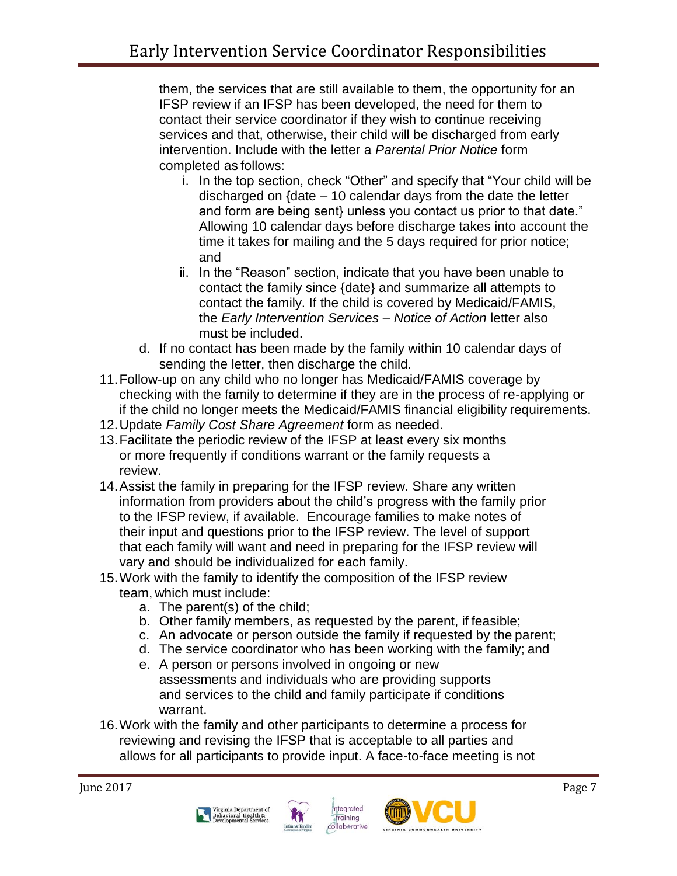them, the services that are still available to them, the opportunity for an IFSP review if an IFSP has been developed, the need for them to contact their service coordinator if they wish to continue receiving services and that, otherwise, their child will be discharged from early intervention. Include with the letter a *Parental Prior Notice* form completed as follows:

- i. In the top section, check "Other" and specify that "Your child will be discharged on {date – 10 calendar days from the date the letter and form are being sent} unless you contact us prior to that date." Allowing 10 calendar days before discharge takes into account the time it takes for mailing and the 5 days required for prior notice; and
- ii. In the "Reason" section, indicate that you have been unable to contact the family since {date} and summarize all attempts to contact the family. If the child is covered by Medicaid/FAMIS, the *Early Intervention Services – Notice of Action* letter also must be included.
- d. If no contact has been made by the family within 10 calendar days of sending the letter, then discharge the child.
- 11.Follow-up on any child who no longer has Medicaid/FAMIS coverage by checking with the family to determine if they are in the process of re-applying or if the child no longer meets the Medicaid/FAMIS financial eligibility requirements.
- 12.Update *Family Cost Share Agreement* form as needed.
- 13.Facilitate the periodic review of the IFSP at least every six months or more frequently if conditions warrant or the family requests a review.
- 14.Assist the family in preparing for the IFSP review. Share any written information from providers about the child's progress with the family prior to the IFSPreview, if available. Encourage families to make notes of their input and questions prior to the IFSP review. The level of support that each family will want and need in preparing for the IFSP review will vary and should be individualized for each family.
- 15.Work with the family to identify the composition of the IFSP review team, which must include:
	- a. The parent(s) of the child;
	- b. Other family members, as requested by the parent, if feasible;
	- c. An advocate or person outside the family if requested by the parent;
	- d. The service coordinator who has been working with the family; and
	- e. A person or persons involved in ongoing or new assessments and individuals who are providing supports and services to the child and family participate if conditions warrant.
- 16.Work with the family and other participants to determine a process for reviewing and revising the IFSP that is acceptable to all parties and allows for all participants to provide input. A face-to-face meeting is not







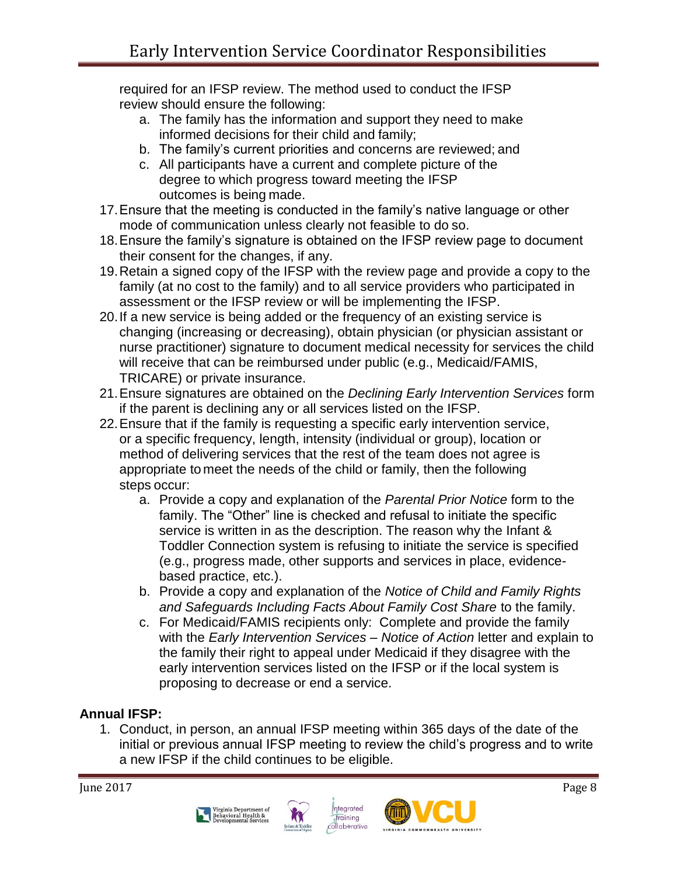required for an IFSP review. The method used to conduct the IFSP review should ensure the following:

- a. The family has the information and support they need to make informed decisions for their child and family;
- b. The family's current priorities and concerns are reviewed; and
- c. All participants have a current and complete picture of the degree to which progress toward meeting the IFSP outcomes is being made.
- 17.Ensure that the meeting is conducted in the family's native language or other mode of communication unless clearly not feasible to do so.
- 18.Ensure the family's signature is obtained on the IFSP review page to document their consent for the changes, if any.
- 19.Retain a signed copy of the IFSP with the review page and provide a copy to the family (at no cost to the family) and to all service providers who participated in assessment or the IFSP review or will be implementing the IFSP.
- 20.If a new service is being added or the frequency of an existing service is changing (increasing or decreasing), obtain physician (or physician assistant or nurse practitioner) signature to document medical necessity for services the child will receive that can be reimbursed under public (e.g., Medicaid/FAMIS, TRICARE) or private insurance.
- 21.Ensure signatures are obtained on the *Declining Early Intervention Services* form if the parent is declining any or all services listed on the IFSP.
- 22.Ensure that if the family is requesting a specific early intervention service, or a specific frequency, length, intensity (individual or group), location or method of delivering services that the rest of the team does not agree is appropriate to meet the needs of the child or family, then the following steps occur:
	- a. Provide a copy and explanation of the *Parental Prior Notice* form to the family. The "Other" line is checked and refusal to initiate the specific service is written in as the description. The reason why the Infant & Toddler Connection system is refusing to initiate the service is specified (e.g., progress made, other supports and services in place, evidencebased practice, etc.).
	- b. Provide a copy and explanation of the *Notice of Child and Family Rights and Safeguards Including Facts About Family Cost Share* to the family.
	- c. For Medicaid/FAMIS recipients only: Complete and provide the family with the *Early Intervention Services – Notice of Action* letter and explain to the family their right to appeal under Medicaid if they disagree with the early intervention services listed on the IFSP or if the local system is proposing to decrease or end a service.

# **Annual IFSP:**

1. Conduct, in person, an annual IFSP meeting within 365 days of the date of the initial or previous annual IFSP meeting to review the child's progress and to write a new IFSP if the child continues to be eligible.







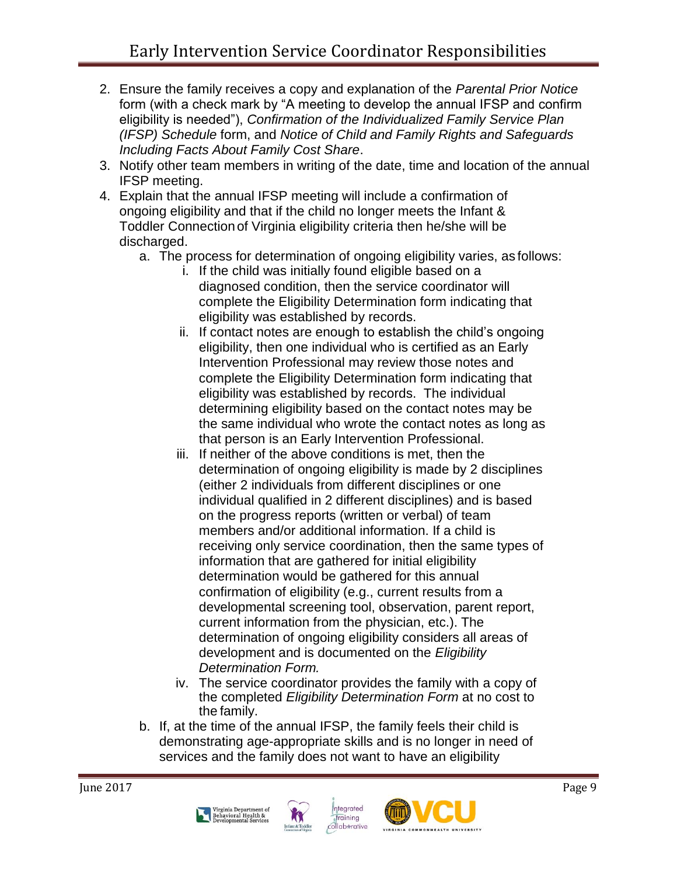- 2. Ensure the family receives a copy and explanation of the *Parental Prior Notice*  form (with a check mark by "A meeting to develop the annual IFSP and confirm eligibility is needed"), *Confirmation of the Individualized Family Service Plan (IFSP) Schedule* form, and *Notice of Child and Family Rights and Safeguards Including Facts About Family Cost Share*.
- 3. Notify other team members in writing of the date, time and location of the annual IFSP meeting.
- 4. Explain that the annual IFSP meeting will include a confirmation of ongoing eligibility and that if the child no longer meets the Infant & Toddler Connection of Virginia eligibility criteria then he/she will be discharged.
	- a. The process for determination of ongoing eligibility varies, as follows:
		- i. If the child was initially found eligible based on a diagnosed condition, then the service coordinator will complete the Eligibility Determination form indicating that eligibility was established by records.
		- ii. If contact notes are enough to establish the child's ongoing eligibility, then one individual who is certified as an Early Intervention Professional may review those notes and complete the Eligibility Determination form indicating that eligibility was established by records. The individual determining eligibility based on the contact notes may be the same individual who wrote the contact notes as long as that person is an Early Intervention Professional.
		- iii. If neither of the above conditions is met, then the determination of ongoing eligibility is made by 2 disciplines (either 2 individuals from different disciplines or one individual qualified in 2 different disciplines) and is based on the progress reports (written or verbal) of team members and/or additional information. If a child is receiving only service coordination, then the same types of information that are gathered for initial eligibility determination would be gathered for this annual confirmation of eligibility (e.g., current results from a developmental screening tool, observation, parent report, current information from the physician, etc.). The determination of ongoing eligibility considers all areas of development and is documented on the *Eligibility Determination Form.*
		- iv. The service coordinator provides the family with a copy of the completed *Eligibility Determination Form* at no cost to the family.
	- b. If, at the time of the annual IFSP, the family feels their child is demonstrating age-appropriate skills and is no longer in need of services and the family does not want to have an eligibility







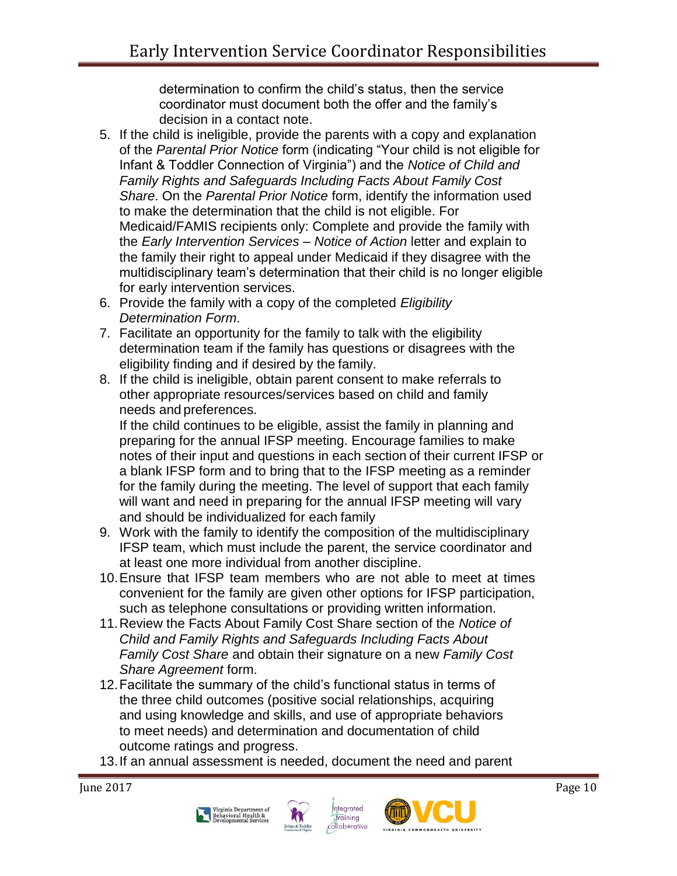determination to confirm the child's status, then the service coordinator must document both the offer and the family's decision in a contact note.

- 5. If the child is ineligible, provide the parents with a copy and explanation of the *Parental Prior Notice* form (indicating "Your child is not eligible for Infant & Toddler Connection of Virginia") and the *Notice of Child and Family Rights and Safeguards Including Facts About Family Cost Share*. On the *Parental Prior Notice* form, identify the information used to make the determination that the child is not eligible. For Medicaid/FAMIS recipients only: Complete and provide the family with the *Early Intervention Services – Notice of Action* letter and explain to the family their right to appeal under Medicaid if they disagree with the multidisciplinary team's determination that their child is no longer eligible for early intervention services.
- 6. Provide the family with a copy of the completed *Eligibility Determination Form*.
- 7. Facilitate an opportunity for the family to talk with the eligibility determination team if the family has questions or disagrees with the eligibility finding and if desired by the family.
- 8. If the child is ineligible, obtain parent consent to make referrals to other appropriate resources/services based on child and family needs and preferences.

If the child continues to be eligible, assist the family in planning and preparing for the annual IFSP meeting. Encourage families to make notes of their input and questions in each section of their current IFSP or a blank IFSP form and to bring that to the IFSP meeting as a reminder for the family during the meeting. The level of support that each family will want and need in preparing for the annual IFSP meeting will vary and should be individualized for each family

- 9. Work with the family to identify the composition of the multidisciplinary IFSP team, which must include the parent, the service coordinator and at least one more individual from another discipline.
- 10.Ensure that IFSP team members who are not able to meet at times convenient for the family are given other options for IFSP participation, such as telephone consultations or providing written information.
- 11.Review the Facts About Family Cost Share section of the *Notice of Child and Family Rights and Safeguards Including Facts About Family Cost Share* and obtain their signature on a new *Family Cost Share Agreement* form.
- 12.Facilitate the summary of the child's functional status in terms of the three child outcomes (positive social relationships, acquiring and using knowledge and skills, and use of appropriate behaviors to meet needs) and determination and documentation of child outcome ratings and progress.
- 13.If an annual assessment is needed, document the need and parent







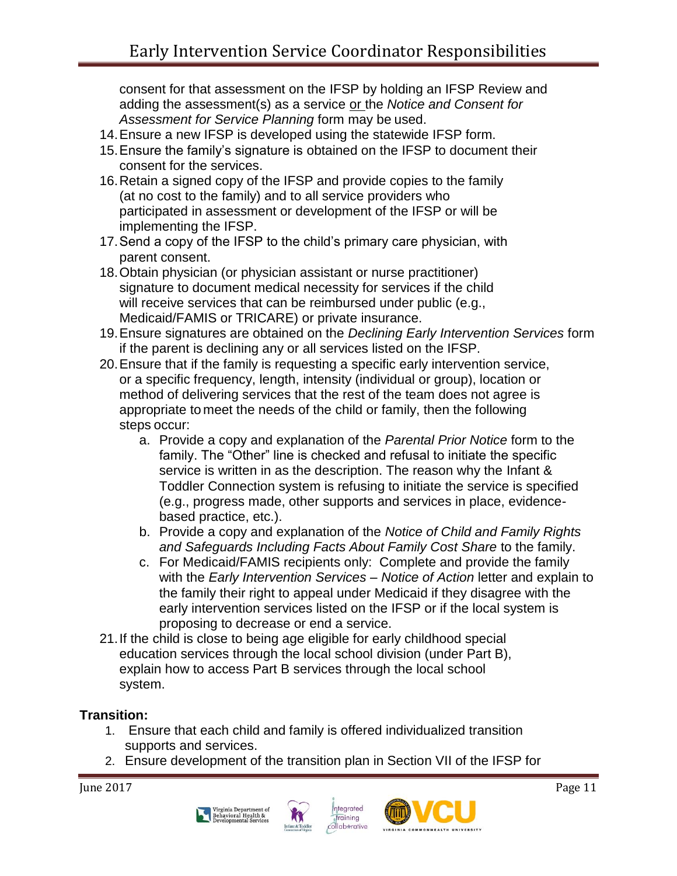consent for that assessment on the IFSP by holding an IFSP Review and adding the assessment(s) as a service or the *Notice and Consent for Assessment for Service Planning* form may be used.

- 14.Ensure a new IFSP is developed using the statewide IFSP form.
- 15.Ensure the family's signature is obtained on the IFSP to document their consent for the services.
- 16.Retain a signed copy of the IFSP and provide copies to the family (at no cost to the family) and to all service providers who participated in assessment or development of the IFSP or will be implementing the IFSP.
- 17.Send a copy of the IFSP to the child's primary care physician, with parent consent.
- 18.Obtain physician (or physician assistant or nurse practitioner) signature to document medical necessity for services if the child will receive services that can be reimbursed under public (e.g., Medicaid/FAMIS or TRICARE) or private insurance.
- 19.Ensure signatures are obtained on the *Declining Early Intervention Services* form if the parent is declining any or all services listed on the IFSP.
- 20.Ensure that if the family is requesting a specific early intervention service, or a specific frequency, length, intensity (individual or group), location or method of delivering services that the rest of the team does not agree is appropriate to meet the needs of the child or family, then the following steps occur:
	- a. Provide a copy and explanation of the *Parental Prior Notice* form to the family. The "Other" line is checked and refusal to initiate the specific service is written in as the description. The reason why the Infant & Toddler Connection system is refusing to initiate the service is specified (e.g., progress made, other supports and services in place, evidencebased practice, etc.).
	- b. Provide a copy and explanation of the *Notice of Child and Family Rights*  and Safeguards Including Facts About Family Cost Share to the family.
	- c. For Medicaid/FAMIS recipients only: Complete and provide the family with the *Early Intervention Services – Notice of Action* letter and explain to the family their right to appeal under Medicaid if they disagree with the early intervention services listed on the IFSP or if the local system is proposing to decrease or end a service.
- 21.If the child is close to being age eligible for early childhood special education services through the local school division (under Part B), explain how to access Part B services through the local school system.

### **Transition:**

- 1. Ensure that each child and family is offered individualized transition supports and services.
- 2. Ensure development of the transition plan in Section VII of the IFSP for







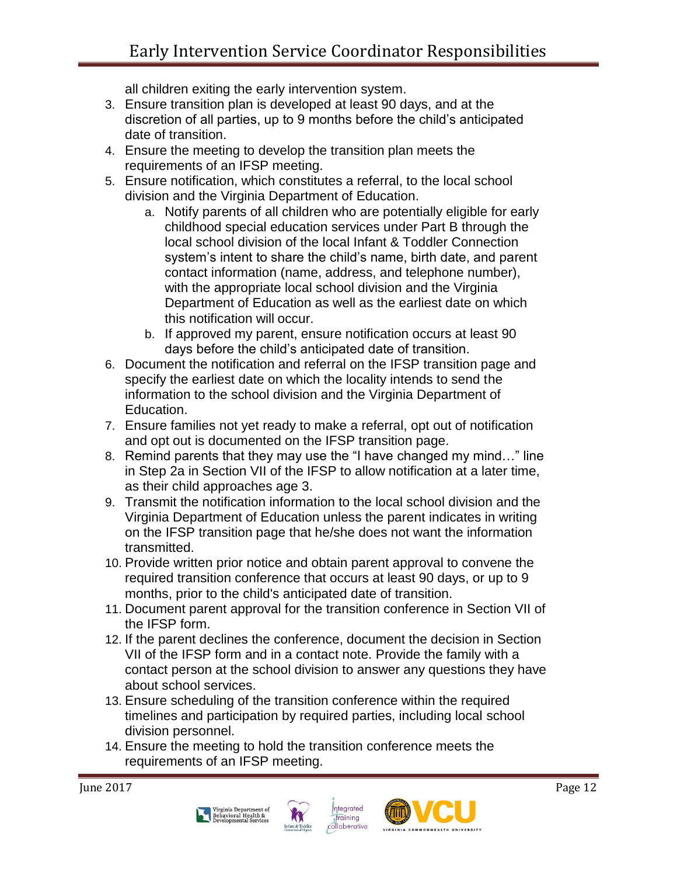all children exiting the early intervention system.

- 3. Ensure transition plan is developed at least 90 days, and at the discretion of all parties, up to 9 months before the child's anticipated date of transition.
- 4. Ensure the meeting to develop the transition plan meets the requirements of an IFSP meeting.
- 5. Ensure notification, which constitutes a referral, to the local school division and the Virginia Department of Education.
	- a. Notify parents of all children who are potentially eligible for early childhood special education services under Part B through the local school division of the local Infant & Toddler Connection system's intent to share the child's name, birth date, and parent contact information (name, address, and telephone number), with the appropriate local school division and the Virginia Department of Education as well as the earliest date on which this notification will occur.
	- b. If approved my parent, ensure notification occurs at least 90 days before the child's anticipated date of transition.
- 6. Document the notification and referral on the IFSP transition page and specify the earliest date on which the locality intends to send the information to the school division and the Virginia Department of Education.
- 7. Ensure families not yet ready to make a referral, opt out of notification and opt out is documented on the IFSP transition page.
- 8. Remind parents that they may use the "I have changed my mind…" line in Step 2a in Section VII of the IFSP to allow notification at a later time, as their child approaches age 3.
- 9. Transmit the notification information to the local school division and the Virginia Department of Education unless the parent indicates in writing on the IFSP transition page that he/she does not want the information transmitted.
- 10. Provide written prior notice and obtain parent approval to convene the required transition conference that occurs at least 90 days, or up to 9 months, prior to the child's anticipated date of transition.
- 11. Document parent approval for the transition conference in Section VII of the IFSP form.
- 12. If the parent declines the conference, document the decision in Section VII of the IFSP form and in a contact note. Provide the family with a contact person at the school division to answer any questions they have about school services.
- 13. Ensure scheduling of the transition conference within the required timelines and participation by required parties, including local school division personnel.
- 14. Ensure the meeting to hold the transition conference meets the requirements of an IFSP meeting.







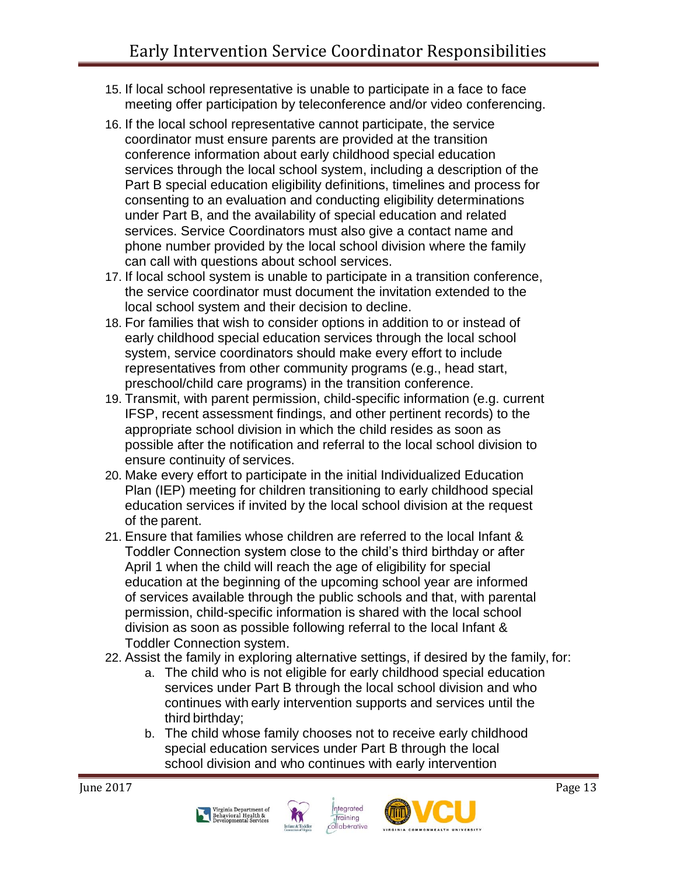- 15. If local school representative is unable to participate in a face to face meeting offer participation by teleconference and/or video conferencing.
- 16. If the local school representative cannot participate, the service coordinator must ensure parents are provided at the transition conference information about early childhood special education services through the local school system, including a description of the Part B special education eligibility definitions, timelines and process for consenting to an evaluation and conducting eligibility determinations under Part B, and the availability of special education and related services. Service Coordinators must also give a contact name and phone number provided by the local school division where the family can call with questions about school services.
- 17. If local school system is unable to participate in a transition conference, the service coordinator must document the invitation extended to the local school system and their decision to decline.
- 18. For families that wish to consider options in addition to or instead of early childhood special education services through the local school system, service coordinators should make every effort to include representatives from other community programs (e.g., head start, preschool/child care programs) in the transition conference.
- 19. Transmit, with parent permission, child-specific information (e.g. current IFSP, recent assessment findings, and other pertinent records) to the appropriate school division in which the child resides as soon as possible after the notification and referral to the local school division to ensure continuity of services.
- 20. Make every effort to participate in the initial Individualized Education Plan (IEP) meeting for children transitioning to early childhood special education services if invited by the local school division at the request of the parent.
- 21. Ensure that families whose children are referred to the local Infant & Toddler Connection system close to the child's third birthday or after April 1 when the child will reach the age of eligibility for special education at the beginning of the upcoming school year are informed of services available through the public schools and that, with parental permission, child-specific information is shared with the local school division as soon as possible following referral to the local Infant & Toddler Connection system.
- 22. Assist the family in exploring alternative settings, if desired by the family, for:
	- a. The child who is not eligible for early childhood special education services under Part B through the local school division and who continues with early intervention supports and services until the third birthday;
	- b. The child whose family chooses not to receive early childhood special education services under Part B through the local school division and who continues with early intervention





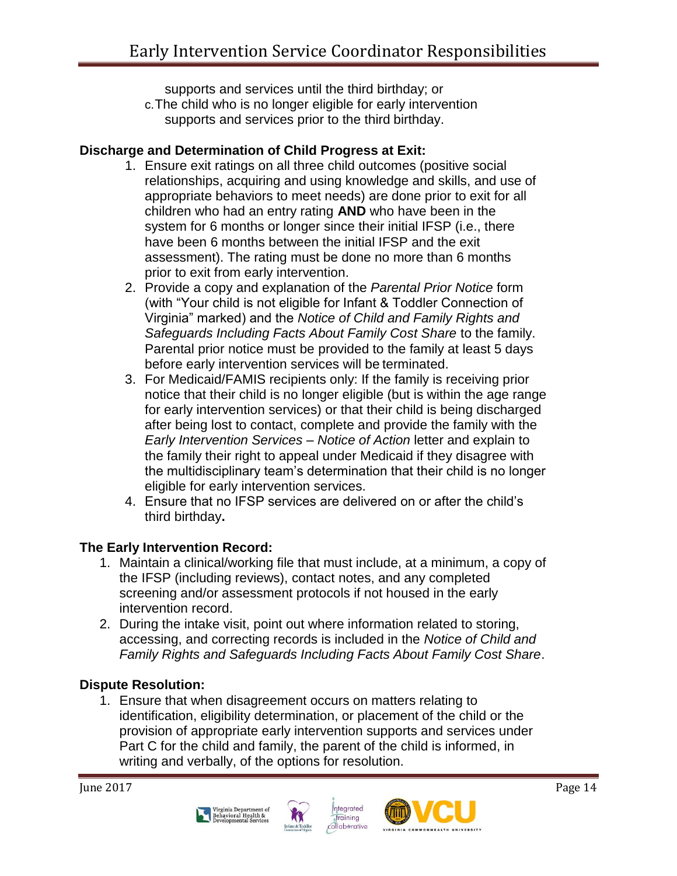supports and services until the third birthday; or

c.The child who is no longer eligible for early intervention supports and services prior to the third birthday.

### **Discharge and Determination of Child Progress at Exit:**

- 1. Ensure exit ratings on all three child outcomes (positive social relationships, acquiring and using knowledge and skills, and use of appropriate behaviors to meet needs) are done prior to exit for all children who had an entry rating **AND** who have been in the system for 6 months or longer since their initial IFSP (i.e., there have been 6 months between the initial IFSP and the exit assessment). The rating must be done no more than 6 months prior to exit from early intervention.
- 2. Provide a copy and explanation of the *Parental Prior Notice* form (with "Your child is not eligible for Infant & Toddler Connection of Virginia" marked) and the *Notice of Child and Family Rights and*  Safeguards Including Facts About Family Cost Share to the family. Parental prior notice must be provided to the family at least 5 days before early intervention services will be terminated.
- 3. For Medicaid/FAMIS recipients only: If the family is receiving prior notice that their child is no longer eligible (but is within the age range for early intervention services) or that their child is being discharged after being lost to contact, complete and provide the family with the *Early Intervention Services – Notice of Action* letter and explain to the family their right to appeal under Medicaid if they disagree with the multidisciplinary team's determination that their child is no longer eligible for early intervention services.
- 4. Ensure that no IFSP services are delivered on or after the child's third birthday**.**

### **The Early Intervention Record:**

- 1. Maintain a clinical/working file that must include, at a minimum, a copy of the IFSP (including reviews), contact notes, and any completed screening and/or assessment protocols if not housed in the early intervention record.
- 2. During the intake visit, point out where information related to storing, accessing, and correcting records is included in the *Notice of Child and Family Rights and Safeguards Including Facts About Family Cost Share*.

#### **Dispute Resolution:**

1. Ensure that when disagreement occurs on matters relating to identification, eligibility determination, or placement of the child or the provision of appropriate early intervention supports and services under Part C for the child and family, the parent of the child is informed, in writing and verbally, of the options for resolution.